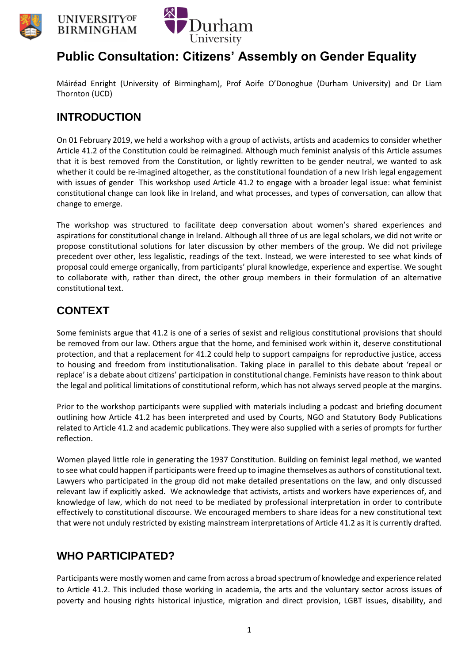





# **Public Consultation: Citizens' Assembly on Gender Equality**

Máiréad Enright (University of Birmingham), Prof Aoife O'Donoghue (Durham University) and Dr Liam Thornton (UCD)

## **INTRODUCTION**

On 01 February 2019, we held a workshop with a group of activists, artists and academics to consider whether Article 41.2 of the Constitution could be reimagined. Although much feminist analysis of this Article assumes that it is best removed from the Constitution, or lightly rewritten to be gender neutral, we wanted to ask whether it could be re-imagined altogether, as the constitutional foundation of a new Irish legal engagement with issues of gender This workshop used Article 41.2 to engage with a broader legal issue: what feminist constitutional change can look like in Ireland, and what processes, and types of conversation, can allow that change to emerge.

The workshop was structured to facilitate deep conversation about women's shared experiences and aspirations for constitutional change in Ireland. Although all three of us are legal scholars, we did not write or propose constitutional solutions for later discussion by other members of the group. We did not privilege precedent over other, less legalistic, readings of the text. Instead, we were interested to see what kinds of proposal could emerge organically, from participants' plural knowledge, experience and expertise. We sought to collaborate with, rather than direct, the other group members in their formulation of an alternative constitutional text.

# **CONTEXT**

Some feminists argue that 41.2 is one of a series of sexist and religious constitutional provisions that should be removed from our law. Others argue that the home, and feminised work within it, deserve constitutional protection, and that a replacement for 41.2 could help to support campaigns for reproductive justice, access to housing and freedom from institutionalisation. Taking place in parallel to this debate about 'repeal or replace' is a debate about citizens' participation in constitutional change. Feminists have reason to think about the legal and political limitations of constitutional reform, which has not always served people at the margins.

Prior to the workshop participants were supplied with materials including a podcast and briefing document outlining how Article 41.2 has been interpreted and used by Courts, NGO and Statutory Body Publications related to Article 41.2 and academic publications. They were also supplied with a series of prompts for further reflection.

Women played little role in generating the 1937 Constitution. Building on feminist legal method, we wanted to see what could happen if participants were freed up to imagine themselves as authors of constitutional text. Lawyers who participated in the group did not make detailed presentations on the law, and only discussed relevant law if explicitly asked. We acknowledge that activists, artists and workers have experiences of, and knowledge of law, which do not need to be mediated by professional interpretation in order to contribute effectively to constitutional discourse. We encouraged members to share ideas for a new constitutional text that were not unduly restricted by existing mainstream interpretations of Article 41.2 as it is currently drafted.

# **WHO PARTICIPATED?**

Participants were mostly women and came from across a broad spectrum of knowledge and experience related to Article 41.2. This included those working in academia, the arts and the voluntary sector across issues of poverty and housing rights historical injustice, migration and direct provision, LGBT issues, disability, and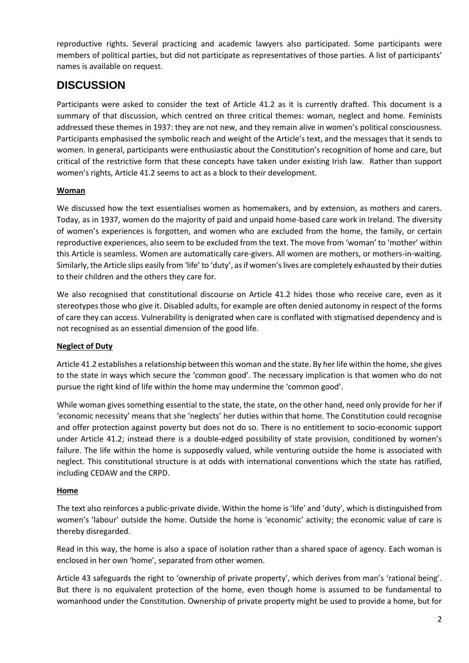reproductive rights. Several practicing and academic lawyers also participated. Some participants were members of political parties, but did not participate as representatives of those parties. A list of participants' names is available on request.

### **DISCUSSION**

Participants were asked to consider the text of Article 41.2 as it is currently drafted. This document is a summary of that discussion, which centred on three critical themes: woman, neglect and home. Feminists addressed these themes in 1937: they are not new, and they remain alive in women's political consciousness. Participants emphasised the symbolic reach and weight of the Article's text, and the messages that it sends to women. In general, participants were enthusiastic about the Constitution's recognition of home and care, but critical of the restrictive form that these concepts have taken under existing Irish law. Rather than support women's rights, Article 41.2 seems to act as a block to their development.

#### **Woman**

We discussed how the text essentialises women as homemakers, and by extension, as mothers and carers. Today, as in 1937, women do the majority of paid and unpaid home-based care work in Ireland. The diversity of women's experiences is forgotten, and women who are excluded from the home, the family, or certain reproductive experiences, also seem to be excluded from the text. The move from 'woman' to 'mother' within this Article is seamless. Women are automatically care-givers. All women are mothers, or mothers-in-waiting. Similarly, the Article slips easily from 'life' to 'duty', as if women's lives are completely exhausted by their duties to their children and the others they care for.

We also recognised that constitutional discourse on Article 41.2 hides those who receive care, even as it stereotypes those who give it. Disabled adults, for example are often denied autonomy in respect of the forms of care they can access. Vulnerability is denigrated when care is conflated with stigmatised dependency and is not recognised as an essential dimension of the good life.

#### **Neglect of Duty**

Article 41.2 establishes a relationship between this woman and the state. By her life within the home, she gives to the state in ways which secure the 'common good'. The necessary implication is that women who do not pursue the right kind of life within the home may undermine the 'common good'.

While woman gives something essential to the state, the state, on the other hand, need only provide for her if 'economic necessity' means that she 'neglects' her duties within that home. The Constitution could recognise and offer protection against poverty but does not do so. There is no entitlement to socio-economic support under Article 41.2; instead there is a double-edged possibility of state provision, conditioned by women's failure. The life within the home is supposedly valued, while venturing outside the home is associated with neglect. This constitutional structure is at odds with international conventions which the state has ratified, including CEDAW and the CRPD.

### **Home**

The text also reinforces a public-private divide. Within the home is 'life' and 'duty', which is distinguished from women's 'labour' outside the home. Outside the home is 'economic' activity; the economic value of care is thereby disregarded.

Read in this way, the home is also a space of isolation rather than a shared space of agency. Each woman is enclosed in her own 'home', separated from other women.

Article 43 safeguards the right to 'ownership of private property', which derives from man's 'rational being'. But there is no equivalent protection of the home, even though home is assumed to be fundamental to womanhood under the Constitution. Ownership of private property might be used to provide a home, but for